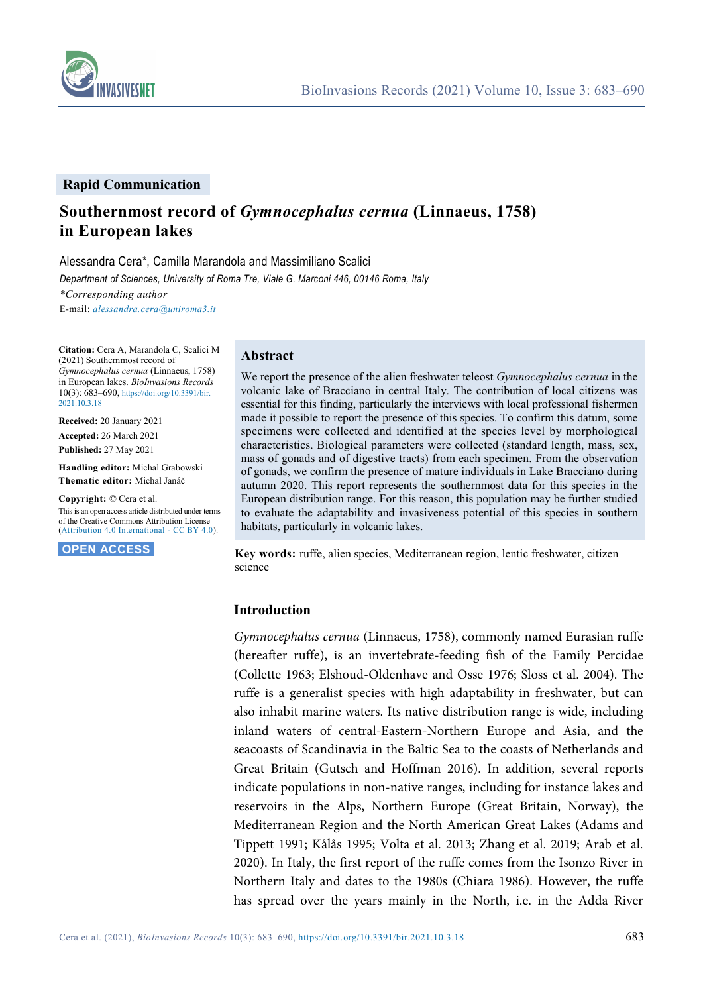

#### **Rapid Communication**

# **Southernmost record of** *Gymnocephalus cernua* **(Linnaeus, 1758) in European lakes**

Alessandra Cera\*, Camilla Marandola and Massimiliano Scalici

*Department of Sciences, University of Roma Tre, Viale G. Marconi 446, 00146 Roma, Italy*

*\*Corresponding author*

E-mail: *[alessandra.cera@uniroma3.it](mailto:alessandra.cera@uniroma3.it)*

**Citation:** Cera A, Marandola C, Scalici M (2021) Southernmost record of *Gymnocephalus cernua* (Linnaeus, 1758) in European lakes. *BioInvasions Records* 10(3): 683–690[, https://doi.org/10.3391/bir.](https://doi.org/10.3391/bir.2021.10.3.18) [2021.10.3.18](https://doi.org/10.3391/bir.2021.10.3.18)

**Received:** 20 January 2021 **Accepted:** 26 March 2021 **Published:** 27 May 2021

**Handling editor:** Michal Grabowski **Thematic editor:** Michal Janáč

**Copyright:** © Cera et al.

This is an open access article distributed under terms of the Creative Commons Attribution License [\(Attribution 4.0 International -](https://creativecommons.org/licenses/by/4.0/) CC BY 4.0).

**OPEN ACCESS.**

### **Abstract**

We report the presence of the alien freshwater teleost *Gymnocephalus cernua* in the volcanic lake of Bracciano in central Italy. The contribution of local citizens was essential for this finding, particularly the interviews with local professional fishermen made it possible to report the presence of this species. To confirm this datum, some specimens were collected and identified at the species level by morphological characteristics. Biological parameters were collected (standard length, mass, sex, mass of gonads and of digestive tracts) from each specimen. From the observation of gonads, we confirm the presence of mature individuals in Lake Bracciano during autumn 2020. This report represents the southernmost data for this species in the European distribution range. For this reason, this population may be further studied to evaluate the adaptability and invasiveness potential of this species in southern habitats, particularly in volcanic lakes.

**Key words:** ruffe, alien species, Mediterranean region, lentic freshwater, citizen science

#### **Introduction**

*Gymnocephalus cernua* (Linnaeus, 1758), commonly named Eurasian ruffe (hereafter ruffe), is an invertebrate-feeding fish of the Family Percidae (Collette 1963; Elshoud-Oldenhave and Osse 1976; Sloss et al. 2004). The ruffe is a generalist species with high adaptability in freshwater, but can also inhabit marine waters. Its native distribution range is wide, including inland waters of central-Eastern-Northern Europe and Asia, and the seacoasts of Scandinavia in the Baltic Sea to the coasts of Netherlands and Great Britain (Gutsch and Hoffman 2016). In addition, several reports indicate populations in non-native ranges, including for instance lakes and reservoirs in the Alps, Northern Europe (Great Britain, Norway), the Mediterranean Region and the North American Great Lakes (Adams and Tippett 1991; Kålås 1995; Volta et al. 2013; Zhang et al. 2019; Arab et al. 2020). In Italy, the first report of the ruffe comes from the Isonzo River in Northern Italy and dates to the 1980s (Chiara 1986). However, the ruffe has spread over the years mainly in the North, i.e. in the Adda River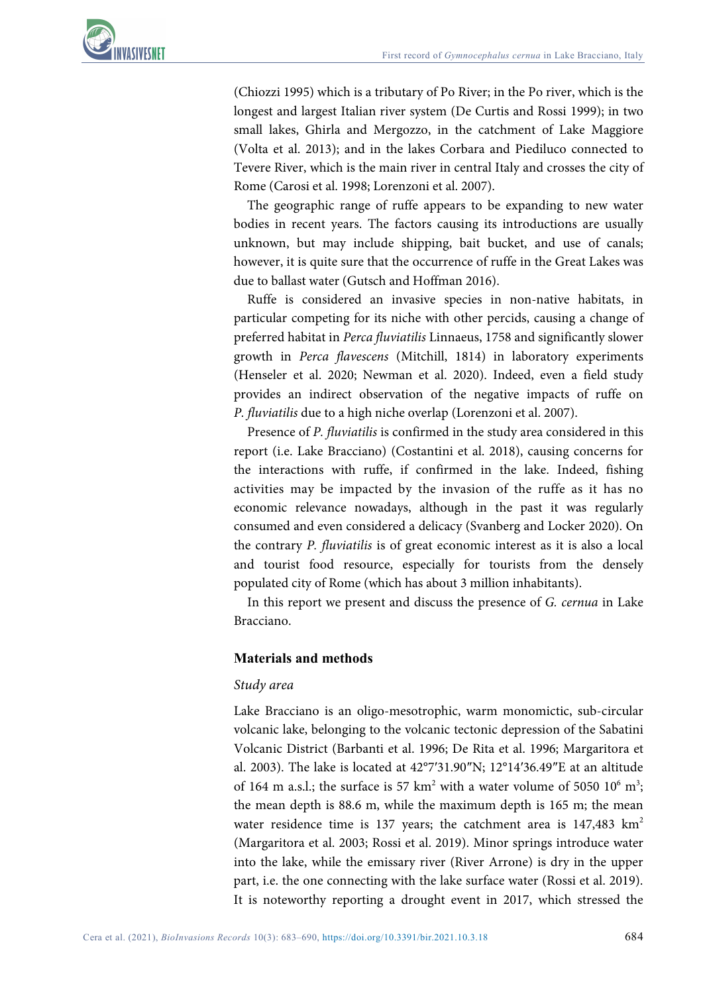(Chiozzi 1995) which is a tributary of Po River; in the Po river, which is the longest and largest Italian river system (De Curtis and Rossi 1999); in two small lakes, Ghirla and Mergozzo, in the catchment of Lake Maggiore (Volta et al. 2013); and in the lakes Corbara and Piediluco connected to Tevere River, which is the main river in central Italy and crosses the city of Rome (Carosi et al. 1998; Lorenzoni et al. 2007).

The geographic range of ruffe appears to be expanding to new water bodies in recent years. The factors causing its introductions are usually unknown, but may include shipping, bait bucket, and use of canals; however, it is quite sure that the occurrence of ruffe in the Great Lakes was due to ballast water (Gutsch and Hoffman 2016).

Ruffe is considered an invasive species in non-native habitats, in particular competing for its niche with other percids, causing a change of preferred habitat in *Perca fluviatilis* Linnaeus, 1758 and significantly slower growth in *Perca flavescens* (Mitchill, 1814) in laboratory experiments (Henseler et al. 2020; Newman et al. 2020). Indeed, even a field study provides an indirect observation of the negative impacts of ruffe on *P. fluviatilis* due to a high niche overlap (Lorenzoni et al. 2007).

Presence of *P. fluviatilis* is confirmed in the study area considered in this report (i.e. Lake Bracciano) (Costantini et al. 2018), causing concerns for the interactions with ruffe, if confirmed in the lake. Indeed, fishing activities may be impacted by the invasion of the ruffe as it has no economic relevance nowadays, although in the past it was regularly consumed and even considered a delicacy (Svanberg and Locker 2020). On the contrary *P. fluviatilis* is of great economic interest as it is also a local and tourist food resource, especially for tourists from the densely populated city of Rome (which has about 3 million inhabitants).

In this report we present and discuss the presence of *G. cernua* in Lake Bracciano.

# **Materials and methods**

# *Study area*

Lake Bracciano is an oligo-mesotrophic, warm monomictic, sub-circular volcanic lake, belonging to the volcanic tectonic depression of the Sabatini Volcanic District (Barbanti et al. 1996; De Rita et al. 1996; Margaritora et al. 2003). The lake is located at 42°7′31.90″N; 12°14′36.49″E at an altitude of 164 m a.s.l.; the surface is 57  $km^2$  with a water volume of 5050 10<sup>6</sup> m<sup>3</sup>; the mean depth is 88.6 m, while the maximum depth is 165 m; the mean water residence time is 137 years; the catchment area is  $147,483$  km<sup>2</sup> (Margaritora et al. 2003; Rossi et al. 2019). Minor springs introduce water into the lake, while the emissary river (River Arrone) is dry in the upper part, i.e. the one connecting with the lake surface water (Rossi et al. 2019). It is noteworthy reporting a drought event in 2017, which stressed the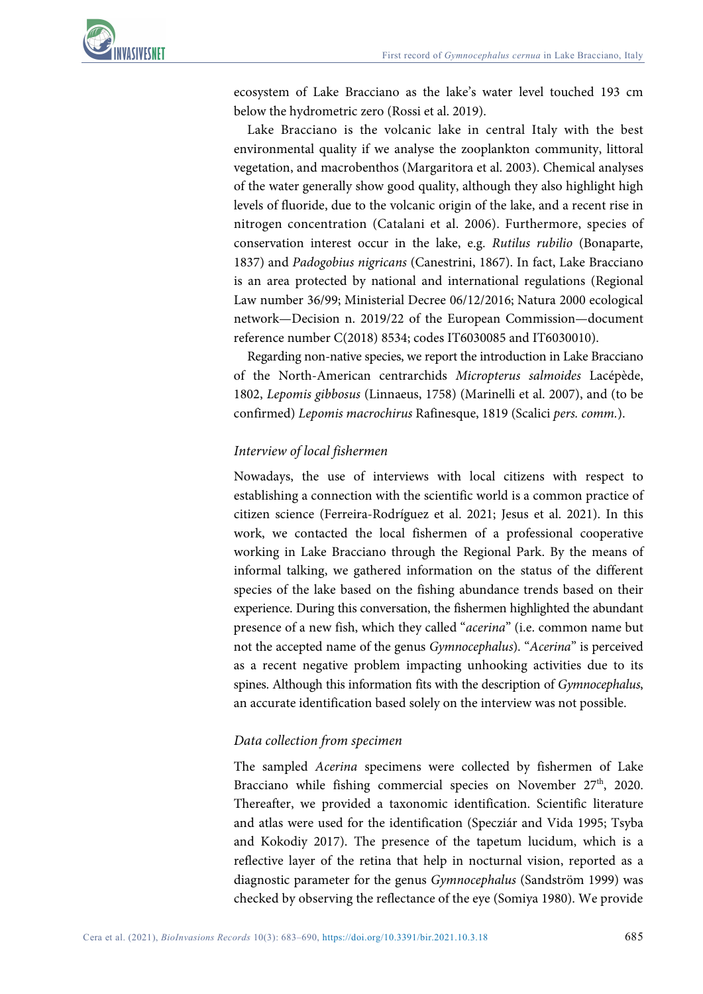

ecosystem of Lake Bracciano as the lake's water level touched 193 cm below the hydrometric zero (Rossi et al. 2019).

Lake Bracciano is the volcanic lake in central Italy with the best environmental quality if we analyse the zooplankton community, littoral vegetation, and macrobenthos (Margaritora et al. 2003). Chemical analyses of the water generally show good quality, although they also highlight high levels of fluoride, due to the volcanic origin of the lake, and a recent rise in nitrogen concentration (Catalani et al. 2006). Furthermore, species of conservation interest occur in the lake, e.g. *Rutilus rubilio* (Bonaparte, 1837) and *Padogobius nigricans* (Canestrini, 1867). In fact, Lake Bracciano is an area protected by national and international regulations (Regional Law number 36/99; Ministerial Decree 06/12/2016; Natura 2000 ecological network—Decision n. 2019/22 of the European Commission—document reference number C(2018) 8534; codes IT6030085 and IT6030010).

Regarding non-native species, we report the introduction in Lake Bracciano of the North-American centrarchids *Micropterus salmoides* Lacépède, 1802, *Lepomis gibbosus* (Linnaeus, 1758) (Marinelli et al. 2007), and (to be confirmed) *Lepomis macrochirus* Rafinesque, 1819 (Scalici *pers. comm.*).

## *Interview of local fishermen*

Nowadays, the use of interviews with local citizens with respect to establishing a connection with the scientific world is a common practice of citizen science (Ferreira-Rodríguez et al. 2021; Jesus et al. 2021). In this work, we contacted the local fishermen of a professional cooperative working in Lake Bracciano through the Regional Park. By the means of informal talking, we gathered information on the status of the different species of the lake based on the fishing abundance trends based on their experience. During this conversation, the fishermen highlighted the abundant presence of a new fish, which they called "*acerina*" (i.e. common name but not the accepted name of the genus *Gymnocephalus*). "*Acerina*" is perceived as a recent negative problem impacting unhooking activities due to its spines. Although this information fits with the description of *Gymnocephalus*, an accurate identification based solely on the interview was not possible.

### *Data collection from specimen*

The sampled *Acerina* specimens were collected by fishermen of Lake Bracciano while fishing commercial species on November  $27<sup>th</sup>$ , 2020. Thereafter, we provided a taxonomic identification. Scientific literature and atlas were used for the identification (Specziár and Vida 1995; Tsyba and Kokodiy 2017). The presence of the tapetum lucidum, which is a reflective layer of the retina that help in nocturnal vision, reported as a diagnostic parameter for the genus *Gymnocephalus* (Sandström 1999) was checked by observing the reflectance of the eye (Somiya 1980). We provide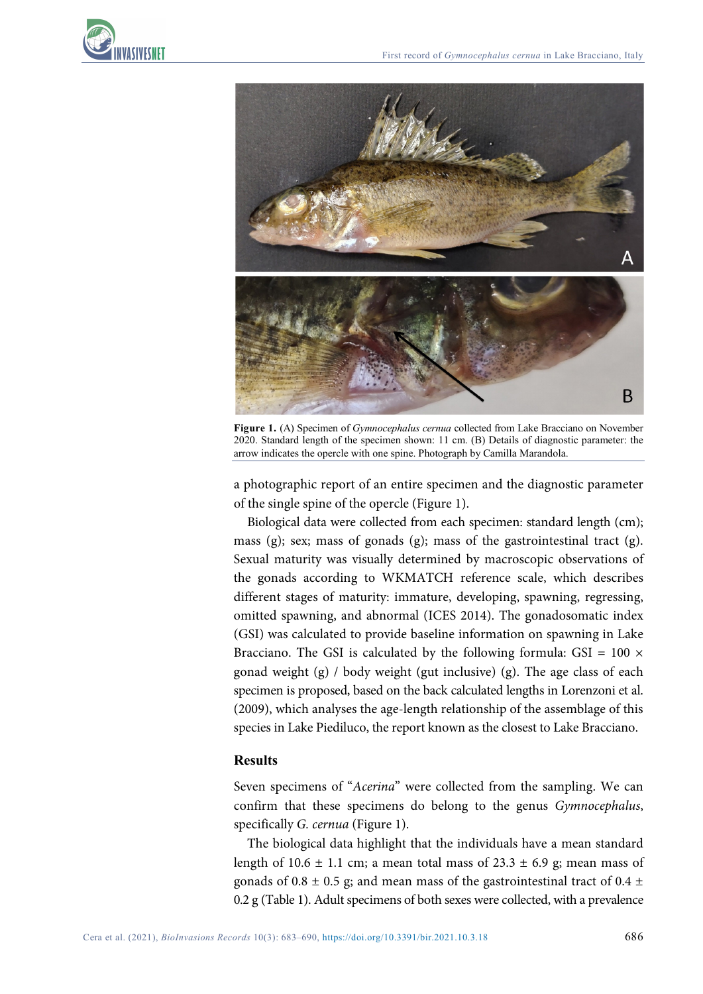



**Figure 1.** (A) Specimen of *Gymnocephalus cernua* collected from Lake Bracciano on November 2020. Standard length of the specimen shown: 11 cm. (B) Details of diagnostic parameter: the arrow indicates the opercle with one spine. Photograph by Camilla Marandola.

a photographic report of an entire specimen and the diagnostic parameter of the single spine of the opercle (Figure 1).

Biological data were collected from each specimen: standard length (cm); mass (g); sex; mass of gonads (g); mass of the gastrointestinal tract (g). Sexual maturity was visually determined by macroscopic observations of the gonads according to WKMATCH reference scale, which describes different stages of maturity: immature, developing, spawning, regressing, omitted spawning, and abnormal (ICES 2014). The gonadosomatic index (GSI) was calculated to provide baseline information on spawning in Lake Bracciano. The GSI is calculated by the following formula: GSI =  $100 \times$ gonad weight (g) / body weight (gut inclusive) (g). The age class of each specimen is proposed, based on the back calculated lengths in Lorenzoni et al. (2009), which analyses the age-length relationship of the assemblage of this species in Lake Piediluco, the report known as the closest to Lake Bracciano.

### **Results**

Seven specimens of "*Acerina*" were collected from the sampling. We can confirm that these specimens do belong to the genus *Gymnocephalus*, specifically *G. cernua* (Figure 1).

The biological data highlight that the individuals have a mean standard length of 10.6  $\pm$  1.1 cm; a mean total mass of 23.3  $\pm$  6.9 g; mean mass of gonads of 0.8  $\pm$  0.5 g; and mean mass of the gastrointestinal tract of 0.4  $\pm$ 0.2 g (Table 1). Adult specimens of both sexes were collected, with a prevalence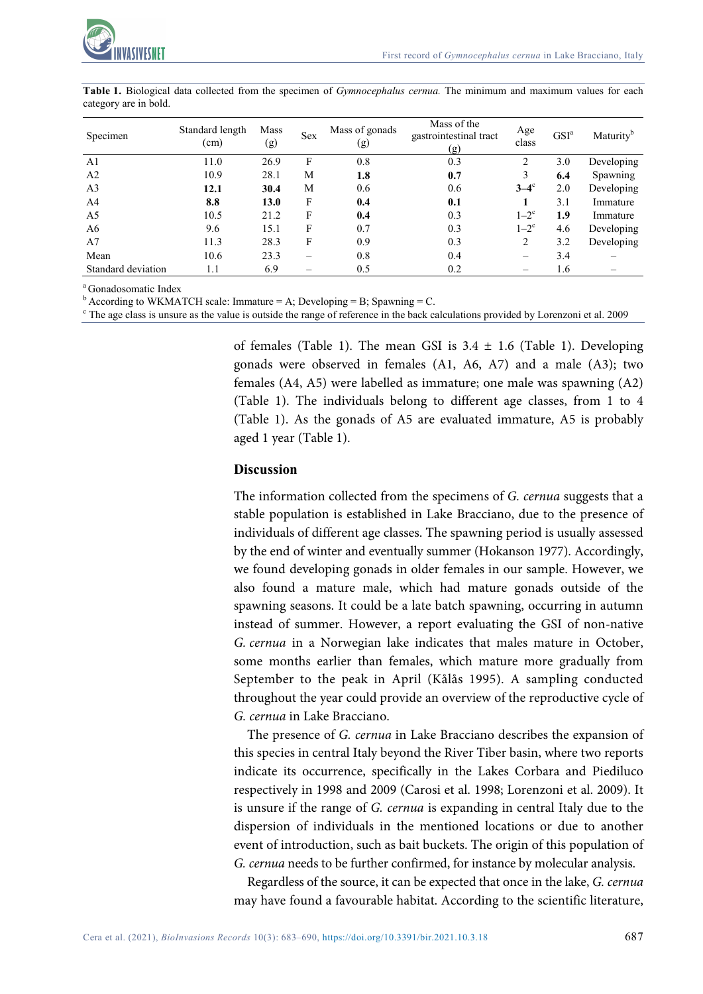

| Specimen           | Standard length<br>(cm) | Mass<br>(g) | <b>Sex</b> | Mass of gonads<br>(g) | Mass of the<br>gastrointestinal tract<br>(g) | Age<br>class       | GSI <sup>a</sup> | Maturity <sup>b</sup> |
|--------------------|-------------------------|-------------|------------|-----------------------|----------------------------------------------|--------------------|------------------|-----------------------|
| A <sub>1</sub>     | 11.0                    | 26.9        | F          | 0.8                   | 0.3                                          |                    | 3.0              | Developing            |
| A <sub>2</sub>     | 10.9                    | 28.1        | M          | 1.8                   | 0.7                                          | 3                  | 6.4              | Spawning              |
| A <sub>3</sub>     | 12.1                    | 30.4        | М          | 0.6                   | 0.6                                          | $3-4^\circ$        | 2.0              | Developing            |
| A <sup>4</sup>     | 8.8                     | 13.0        | F          | 0.4                   | 0.1                                          |                    | 3.1              | Immature              |
| A <sub>5</sub>     | 10.5                    | 21.2        | F          | 0.4                   | 0.3                                          | $1-2$ <sup>c</sup> | 1.9              | Immature              |
| A6                 | 9.6                     | 15.1        | F          | 0.7                   | 0.3                                          | $1-2$ <sup>c</sup> | 4.6              | Developing            |
| A <sub>7</sub>     | 11.3                    | 28.3        | F          | 0.9                   | 0.3                                          | 2                  | 3.2              | Developing            |
| Mean               | 10.6                    | 23.3        |            | 0.8                   | 0.4                                          |                    | 3.4              |                       |
| Standard deviation | 1.1                     | 6.9         |            | 0.5                   | 0.2                                          |                    | 1.6              |                       |

**Table 1.** Biological data collected from the specimen of *Gymnocephalus cernua.* The minimum and maximum values for each category are in bold.

a Gonadosomatic Index

 $<sup>b</sup>$  According to WKMATCH scale: Immature = A; Developing = B; Spawning = C.</sup>

<sup>c</sup> The age class is unsure as the value is outside the range of reference in the back calculations provided by Lorenzoni et al. 2009

of females (Table 1). The mean GSI is  $3.4 \pm 1.6$  (Table 1). Developing gonads were observed in females (A1, A6, A7) and a male (A3); two females (A4, A5) were labelled as immature; one male was spawning (A2) (Table 1). The individuals belong to different age classes, from 1 to 4 (Table 1). As the gonads of A5 are evaluated immature, A5 is probably aged 1 year (Table 1).

#### **Discussion**

The information collected from the specimens of *G. cernua* suggests that a stable population is established in Lake Bracciano, due to the presence of individuals of different age classes. The spawning period is usually assessed by the end of winter and eventually summer (Hokanson 1977). Accordingly, we found developing gonads in older females in our sample. However, we also found a mature male, which had mature gonads outside of the spawning seasons. It could be a late batch spawning, occurring in autumn instead of summer. However, a report evaluating the GSI of non-native *G. cernua* in a Norwegian lake indicates that males mature in October, some months earlier than females, which mature more gradually from September to the peak in April (Kålås 1995). A sampling conducted throughout the year could provide an overview of the reproductive cycle of *G. cernua* in Lake Bracciano.

The presence of *G. cernua* in Lake Bracciano describes the expansion of this species in central Italy beyond the River Tiber basin, where two reports indicate its occurrence, specifically in the Lakes Corbara and Piediluco respectively in 1998 and 2009 (Carosi et al. 1998; Lorenzoni et al. 2009). It is unsure if the range of *G. cernua* is expanding in central Italy due to the dispersion of individuals in the mentioned locations or due to another event of introduction, such as bait buckets. The origin of this population of *G. cernua* needs to be further confirmed, for instance by molecular analysis.

Regardless of the source, it can be expected that once in the lake, *G. cernua* may have found a favourable habitat. According to the scientific literature,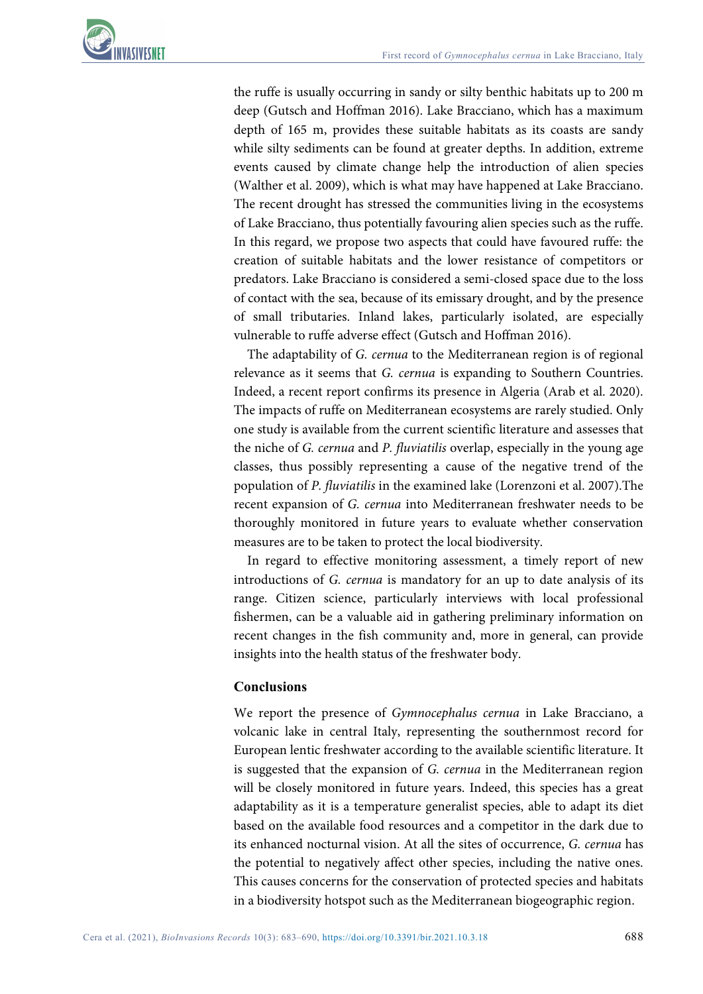

the ruffe is usually occurring in sandy or silty benthic habitats up to 200 m deep (Gutsch and Hoffman 2016). Lake Bracciano, which has a maximum depth of 165 m, provides these suitable habitats as its coasts are sandy while silty sediments can be found at greater depths. In addition, extreme events caused by climate change help the introduction of alien species (Walther et al. 2009), which is what may have happened at Lake Bracciano. The recent drought has stressed the communities living in the ecosystems of Lake Bracciano, thus potentially favouring alien species such as the ruffe. In this regard, we propose two aspects that could have favoured ruffe: the creation of suitable habitats and the lower resistance of competitors or predators. Lake Bracciano is considered a semi-closed space due to the loss of contact with the sea, because of its emissary drought, and by the presence of small tributaries. Inland lakes, particularly isolated, are especially vulnerable to ruffe adverse effect (Gutsch and Hoffman 2016).

The adaptability of *G. cernua* to the Mediterranean region is of regional relevance as it seems that *G. cernua* is expanding to Southern Countries. Indeed, a recent report confirms its presence in Algeria (Arab et al. 2020). The impacts of ruffe on Mediterranean ecosystems are rarely studied. Only one study is available from the current scientific literature and assesses that the niche of *G. cernua* and *P. fluviatilis* overlap, especially in the young age classes, thus possibly representing a cause of the negative trend of the population of *P. fluviatilis* in the examined lake (Lorenzoni et al. 2007).The recent expansion of *G. cernua* into Mediterranean freshwater needs to be thoroughly monitored in future years to evaluate whether conservation measures are to be taken to protect the local biodiversity.

In regard to effective monitoring assessment, a timely report of new introductions of *G. cernua* is mandatory for an up to date analysis of its range. Citizen science, particularly interviews with local professional fishermen, can be a valuable aid in gathering preliminary information on recent changes in the fish community and, more in general, can provide insights into the health status of the freshwater body.

### **Conclusions**

We report the presence of *Gymnocephalus cernua* in Lake Bracciano, a volcanic lake in central Italy, representing the southernmost record for European lentic freshwater according to the available scientific literature. It is suggested that the expansion of *G. cernua* in the Mediterranean region will be closely monitored in future years. Indeed, this species has a great adaptability as it is a temperature generalist species, able to adapt its diet based on the available food resources and a competitor in the dark due to its enhanced nocturnal vision. At all the sites of occurrence, *G. cernua* has the potential to negatively affect other species, including the native ones. This causes concerns for the conservation of protected species and habitats in a biodiversity hotspot such as the Mediterranean biogeographic region.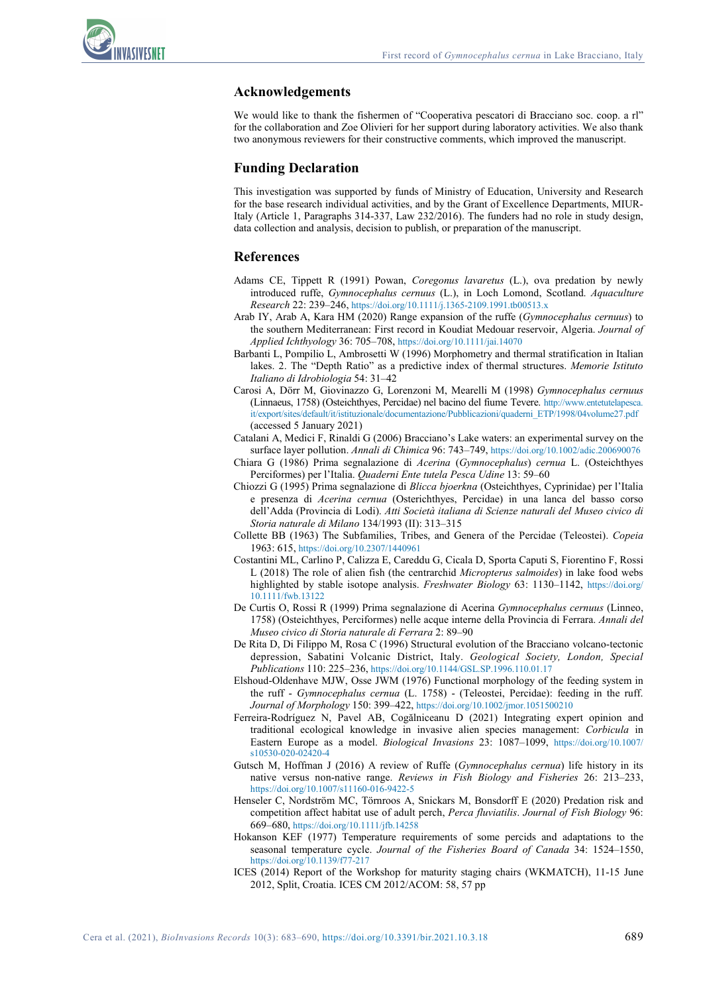

#### **Acknowledgements**

We would like to thank the fishermen of "Cooperativa pescatori di Bracciano soc. coop. a rl" for the collaboration and Zoe Olivieri for her support during laboratory activities. We also thank two anonymous reviewers for their constructive comments, which improved the manuscript.

#### **Funding Declaration**

This investigation was supported by funds of Ministry of Education, University and Research for the base research individual activities, and by the Grant of Excellence Departments, MIUR-Italy (Article 1, Paragraphs 314-337, Law 232/2016). The funders had no role in study design, data collection and analysis, decision to publish, or preparation of the manuscript.

#### **References**

- Adams CE, Tippett R (1991) Powan, *Coregonus lavaretus* (L.), ova predation by newly introduced ruffe, *Gymnocephalus cernuus* (L.), in Loch Lomond, Scotland. *Aquaculture Research* 22: 239–246[, https://doi.org/10.1111/j.1365-2109.1991.tb00513.x](https://doi.org/10.1111/j.1365-2109.1991.tb00513.x)
- Arab IY, Arab A, Kara HM (2020) Range expansion of the ruffe (*Gymnocephalus cernuus*) to the southern Mediterranean: First record in Koudiat Medouar reservoir, Algeria. *Journal of Applied Ichthyology* 36: 705–708,<https://doi.org/10.1111/jai.14070>
- Barbanti L, Pompilio L, Ambrosetti W (1996) Morphometry and thermal stratification in Italian lakes. 2. The "Depth Ratio" as a predictive index of thermal structures. *Memorie Istituto Italiano di Idrobiologia* 54: 31–42
- Carosi A, Dörr M, Giovinazzo G, Lorenzoni M, Mearelli M (1998) *Gymnocephalus cernuus*  (Linnaeus, 1758) (Osteichthyes, Percidae) nel bacino del fiume Tevere. [http://www.entetutelapesca.](http://www.entetutelapesca.it/export/sites/default/it/istituzionale/documentazione/Pubblicazioni/quaderni_ETP/1998/04volume27.pdf) [it/export/sites/default/it/istituzionale/documentazione/Pubblicazioni/quaderni\\_ETP/1998/04volume27.pdf](http://www.entetutelapesca.it/export/sites/default/it/istituzionale/documentazione/Pubblicazioni/quaderni_ETP/1998/04volume27.pdf) (accessed 5 January 2021)
- Catalani A, Medici F, Rinaldi G (2006) Bracciano's Lake waters: an experimental survey on the surface layer pollution. *Annali di Chimica* 96: 743–749[, https://doi.org/10.1002/adic.200690076](https://doi.org/10.1002/adic.200690076)
- Chiara G (1986) Prima segnalazione di *Acerina* (*Gymnocephalus*) *cernua* L. (Osteichthyes Perciformes) per l'Italia. *Quaderni Ente tutela Pesca Udine* 13: 59–60
- Chiozzi G (1995) Prima segnalazione di *Blicca bjoerkna* (Osteichthyes, Cyprinidae) per l'Italia e presenza di *Acerina cernua* (Osterichthyes, Percidae) in una lanca del basso corso dell'Adda (Provincia di Lodi). *Atti Società italiana di Scienze naturali del Museo civico di Storia naturale di Milano* 134/1993 (II): 313–315
- Collette BB (1963) The Subfamilies, Tribes, and Genera of the Percidae (Teleostei). *Copeia* 1963: 615,<https://doi.org/10.2307/1440961>
- Costantini ML, Carlino P, Calizza E, Careddu G, Cicala D, Sporta Caputi S, Fiorentino F, Rossi L (2018) The role of alien fish (the centrarchid *Micropterus salmoides*) in lake food webs highlighted by stable isotope analysis. *Freshwater Biology* 63: 1130–1142, [https://doi.org/](https://doi.org/10.1111/fwb.13122) [10.1111/fwb.13122](https://doi.org/10.1111/fwb.13122)
- De Curtis O, Rossi R (1999) Prima segnalazione di Acerina *Gymnocephalus cernuus* (Linneo, 1758) (Osteichthyes, Perciformes) nelle acque interne della Provincia di Ferrara. *Annali del Museo civico di Storia naturale di Ferrara* 2: 89–90
- De Rita D, Di Filippo M, Rosa C (1996) Structural evolution of the Bracciano volcano-tectonic depression, Sabatini Volcanic District, Italy. *Geological Society, London, Special Publications* 110: 225–236,<https://doi.org/10.1144/GSL.SP.1996.110.01.17>
- Elshoud-Oldenhave MJW, Osse JWM (1976) Functional morphology of the feeding system in the ruff - *Gymnocephalus cernua* (L. 1758) - (Teleostei, Percidae): feeding in the ruff. *Journal of Morphology* 150: 399–422[, https://doi.org/10.1002/jmor.1051500210](https://doi.org/10.1002/jmor.1051500210)
- Ferreira-Rodríguez N, Pavel AB, Cogălniceanu D (2021) Integrating expert opinion and traditional ecological knowledge in invasive alien species management: *Corbicula* in Eastern Europe as a model. *Biological Invasions* 23: 1087–1099, [https://doi.org/10.1007/](https://doi.org/10.1007/s10530-020-02420-4) [s10530-020-02420-4](https://doi.org/10.1007/s10530-020-02420-4)
- Gutsch M, Hoffman J (2016) A review of Ruffe (*Gymnocephalus cernua*) life history in its native versus non-native range. *Reviews in Fish Biology and Fisheries* 26: 213–233, <https://doi.org/10.1007/s11160-016-9422-5>
- Henseler C, Nordström MC, Törnroos A, Snickars M, Bonsdorff E (2020) Predation risk and competition affect habitat use of adult perch, *Perca fluviatilis*. *Journal of Fish Biology* 96: 669–680,<https://doi.org/10.1111/jfb.14258>
- Hokanson KEF (1977) Temperature requirements of some percids and adaptations to the seasonal temperature cycle. *Journal of the Fisheries Board of Canada* 34: 1524–1550, <https://doi.org/10.1139/f77-217>
- ICES (2014) Report of the Workshop for maturity staging chairs (WKMATCH), 11-15 June 2012, Split, Croatia. ICES CM 2012/ACOM: 58, 57 pp